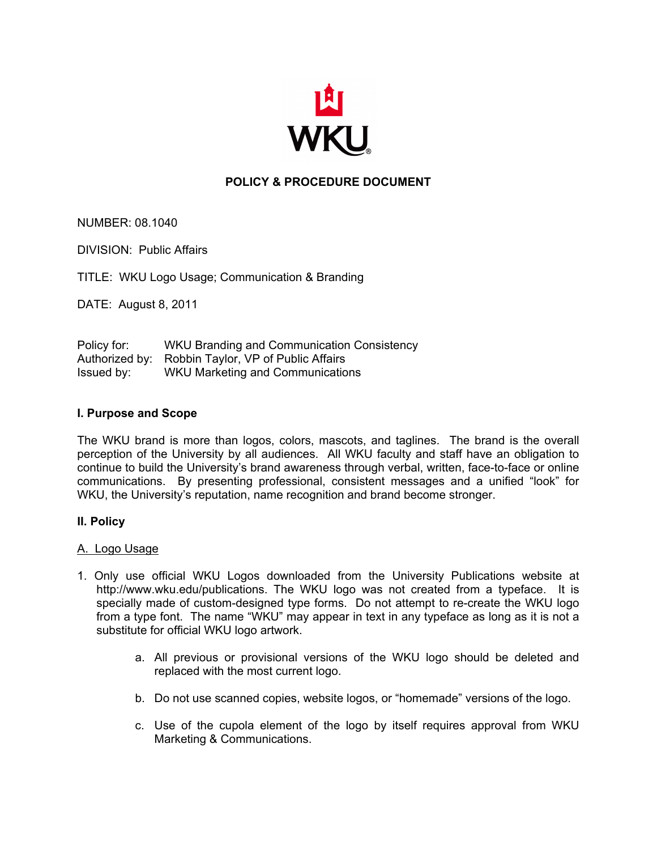

# **POLICY & PROCEDURE DOCUMENT**

NUMBER: 08.1040

DIVISION: Public Affairs

TITLE: WKU Logo Usage; Communication & Branding

DATE: August 8, 2011

Policy for: WKU Branding and Communication Consistency Authorized by: Robbin Taylor, VP of Public Affairs Issued by: WKU Marketing and Communications

#### **I. Purpose and Scope**

The WKU brand is more than logos, colors, mascots, and taglines. The brand is the overall perception of the University by all audiences. All WKU faculty and staff have an obligation to continue to build the University's brand awareness through verbal, written, face-to-face or online communications. By presenting professional, consistent messages and a unified "look" for WKU, the University's reputation, name recognition and brand become stronger.

#### **II. Policy**

#### A. Logo Usage

- 1. Only use official WKU Logos downloaded from the University Publications website at http://www.wku.edu/publications. The WKU logo was not created from a typeface. It is specially made of custom-designed type forms. Do not attempt to re-create the WKU logo from a type font. The name "WKU" may appear in text in any typeface as long as it is not a substitute for official WKU logo artwork.
	- a. All previous or provisional versions of the WKU logo should be deleted and replaced with the most current logo.
	- b. Do not use scanned copies, website logos, or "homemade" versions of the logo.
	- c. Use of the cupola element of the logo by itself requires approval from WKU Marketing & Communications.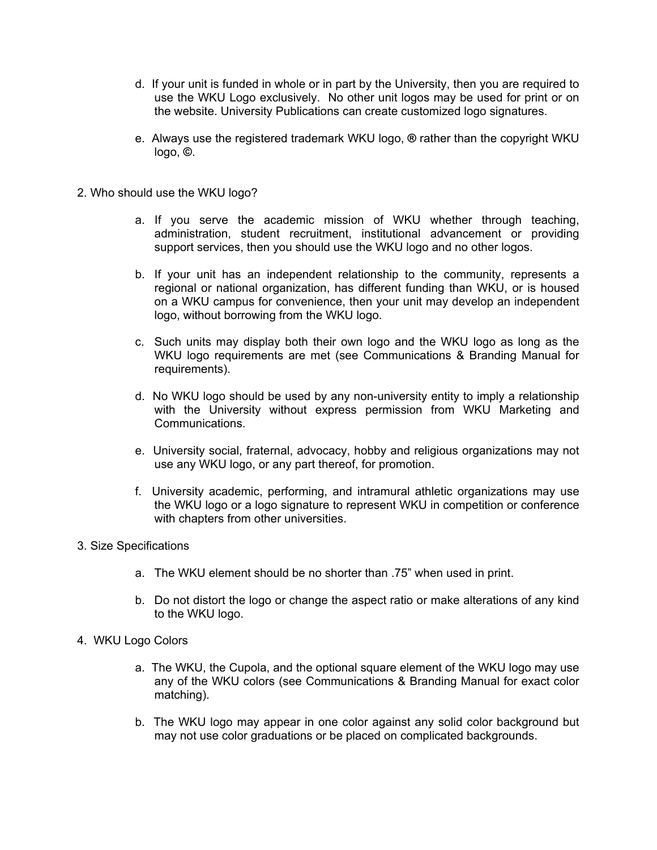- d. If your unit is funded in whole or in part by the University, then you are required to use the WKU Logo exclusively. No other unit logos may be used for print or on the website. University Publications can create customized logo signatures.
- e. Always use the registered trademark WKU logo, **®** rather than the copyright WKU logo, **©**.
- 2. Who should use the WKU logo?
	- a. If you serve the academic mission of WKU whether through teaching, administration, student recruitment, institutional advancement or providing support services, then you should use the WKU logo and no other logos.
	- b. If your unit has an independent relationship to the community, represents a regional or national organization, has different funding than WKU, or is housed on a WKU campus for convenience, then your unit may develop an independent logo, without borrowing from the WKU logo.
	- c. Such units may display both their own logo and the WKU logo as long as the WKU logo requirements are met (see Communications & Branding Manual for requirements).
	- d. No WKU logo should be used by any non-university entity to imply a relationship with the University without express permission from WKU Marketing and Communications.
	- e. University social, fraternal, advocacy, hobby and religious organizations may not use any WKU logo, or any part thereof, for promotion.
	- f. University academic, performing, and intramural athletic organizations may use the WKU logo or a logo signature to represent WKU in competition or conference with chapters from other universities.
- 3. Size Specifications
	- a. The WKU element should be no shorter than .75" when used in print.
	- b. Do not distort the logo or change the aspect ratio or make alterations of any kind to the WKU logo.
- 4. WKU Logo Colors
	- a. The WKU, the Cupola, and the optional square element of the WKU logo may use any of the WKU colors (see Communications & Branding Manual for exact color matching).
	- b. The WKU logo may appear in one color against any solid color background but may not use color graduations or be placed on complicated backgrounds.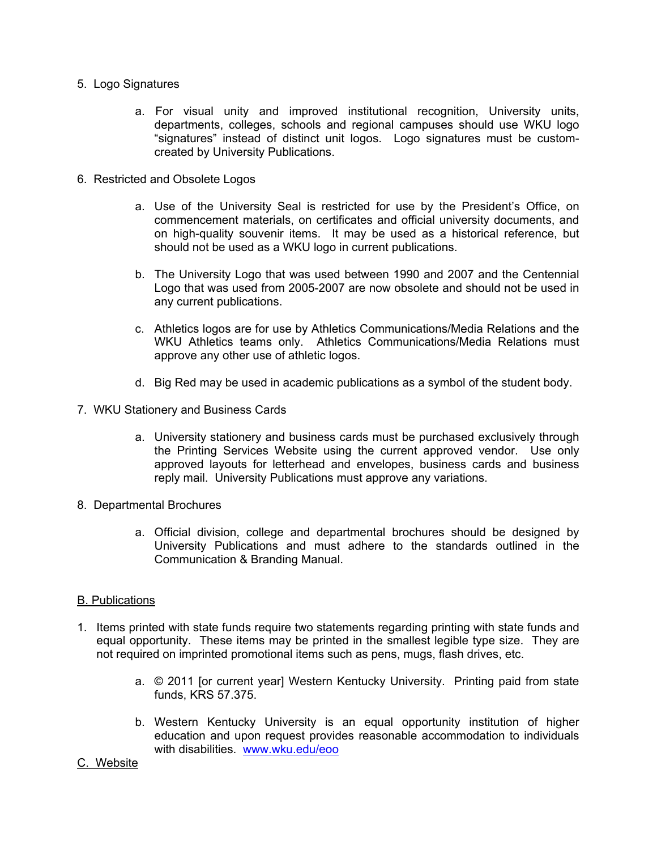- 5. Logo Signatures
	- a. For visual unity and improved institutional recognition, University units, departments, colleges, schools and regional campuses should use WKU logo "signatures" instead of distinct unit logos. Logo signatures must be customcreated by University Publications.
- 6. Restricted and Obsolete Logos
	- a. Use of the University Seal is restricted for use by the President's Office, on commencement materials, on certificates and official university documents, and on high-quality souvenir items. It may be used as a historical reference, but should not be used as a WKU logo in current publications.
	- b. The University Logo that was used between 1990 and 2007 and the Centennial Logo that was used from 2005-2007 are now obsolete and should not be used in any current publications.
	- c. Athletics logos are for use by Athletics Communications/Media Relations and the WKU Athletics teams only. Athletics Communications/Media Relations must approve any other use of athletic logos.
	- d. Big Red may be used in academic publications as a symbol of the student body.
- 7. WKU Stationery and Business Cards
	- a. University stationery and business cards must be purchased exclusively through the Printing Services Website using the current approved vendor. Use only approved layouts for letterhead and envelopes, business cards and business reply mail. University Publications must approve any variations.
- 8. Departmental Brochures
	- a. Official division, college and departmental brochures should be designed by University Publications and must adhere to the standards outlined in the Communication & Branding Manual.

#### B. Publications

- 1. Items printed with state funds require two statements regarding printing with state funds and equal opportunity. These items may be printed in the smallest legible type size. They are not required on imprinted promotional items such as pens, mugs, flash drives, etc.
	- a. © 2011 [or current year] Western Kentucky University. Printing paid from state funds, KRS 57.375.
	- b. Western Kentucky University is an equal opportunity institution of higher education and upon request provides reasonable accommodation to individuals with disabilities. www.wku.edu/eoo

#### C. Website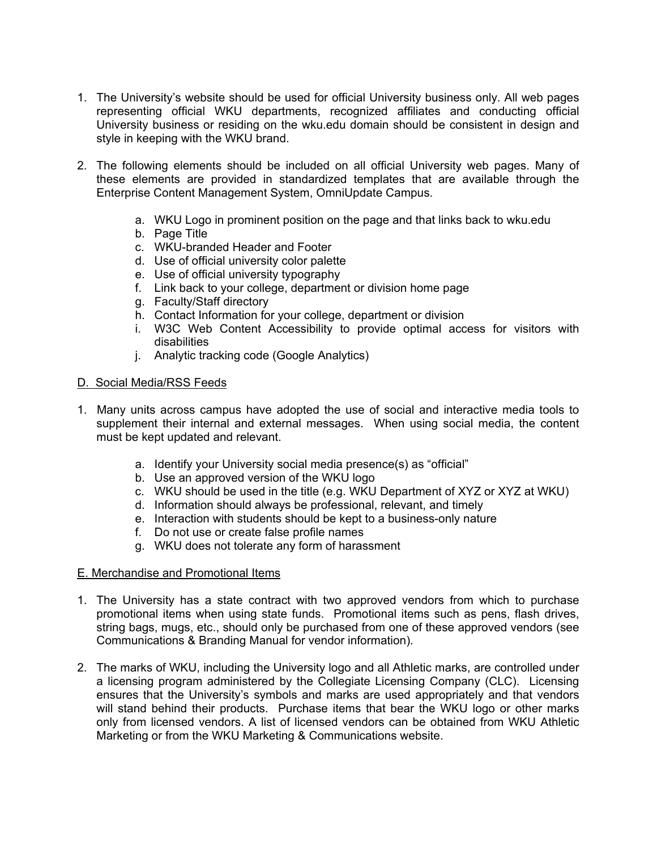- 1. The University's website should be used for official University business only. All web pages representing official WKU departments, recognized affiliates and conducting official University business or residing on the wku.edu domain should be consistent in design and style in keeping with the WKU brand.
- 2. The following elements should be included on all official University web pages. Many of these elements are provided in standardized templates that are available through the Enterprise Content Management System, OmniUpdate Campus.
	- a. WKU Logo in prominent position on the page and that links back to wku.edu
	- b. Page Title
	- c. WKU-branded Header and Footer
	- d. Use of official university color palette
	- e. Use of official university typography
	- f. Link back to your college, department or division home page
	- g. Faculty/Staff directory
	- h. Contact Information for your college, department or division
	- i. W3C Web Content Accessibility to provide optimal access for visitors with disabilities
	- j. Analytic tracking code (Google Analytics)

## D. Social Media/RSS Feeds

- 1. Many units across campus have adopted the use of social and interactive media tools to supplement their internal and external messages. When using social media, the content must be kept updated and relevant.
	- a. Identify your University social media presence(s) as "official"
	- b. Use an approved version of the WKU logo
	- c. WKU should be used in the title (e.g. WKU Department of XYZ or XYZ at WKU)
	- d. Information should always be professional, relevant, and timely
	- e. Interaction with students should be kept to a business-only nature
	- f. Do not use or create false profile names
	- g. WKU does not tolerate any form of harassment

#### E. Merchandise and Promotional Items

- 1. The University has a state contract with two approved vendors from which to purchase promotional items when using state funds. Promotional items such as pens, flash drives, string bags, mugs, etc., should only be purchased from one of these approved vendors (see Communications & Branding Manual for vendor information).
- 2. The marks of WKU, including the University logo and all Athletic marks, are controlled under a licensing program administered by the Collegiate Licensing Company (CLC). Licensing ensures that the University's symbols and marks are used appropriately and that vendors will stand behind their products. Purchase items that bear the WKU logo or other marks only from licensed vendors. A list of licensed vendors can be obtained from WKU Athletic Marketing or from the WKU Marketing & Communications website.